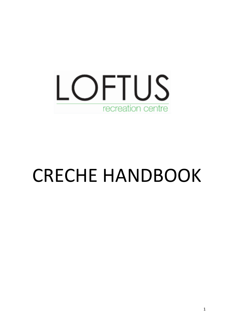

# CRECHE HANDBOOK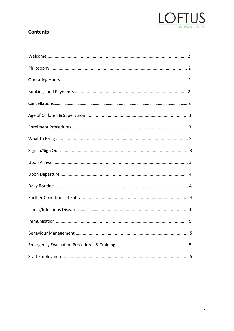

# **Contents**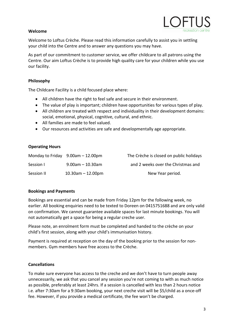# **Welcome**

Welcome to Loftus Crèche. Please read this information carefully to assist you in settling your child into the Centre and to answer any questions you may have.

As part of our commitment to customer service, we offer childcare to all patrons using the Centre. Our aim Loftus Crèche is to provide high quality care for your children while you use our facility.

# **Philosophy**

The Childcare Facility is a child focused place where:

- All children have the right to feel safe and secure in their environment.
- The value of play is important; children have opportunities for various types of play.
- All children are treated with respect and individuality in their development domains: social, emotional, physical, cognitive, cultural, and ethnic.
- All families are made to feel valued.
- Our resources and activities are safe and developmentally age appropriate.

# **Operating Hours**

|            | Monday to Friday $9.00$ am $-12.00$ pm | The Crèche is closed on public holidays |
|------------|----------------------------------------|-----------------------------------------|
| Session I  | $9.00$ am – 10.30am                    | and 2 weeks over the Christmas and      |
| Session II | $10.30$ am $- 12.00$ pm                | New Year period.                        |

# **Bookings and Payments**

Bookings are essential and can be made from Friday 12pm for the following week, no earlier. All booking enquiries need to be texted to Doreen on 0415751688 and are only valid on confirmation. We cannot guarantee available spaces for last minute bookings. You will not automatically get a space for being a regular creche user.

Please note, an enrolment form must be completed and handed to the crèche on your child's first session, along with your child's immunisation history.

Payment is required at reception on the day of the booking prior to the session for nonmembers. Gym members have free access to the Crèche.

# **Cancellations**

To make sure everyone has access to the creche and we don't have to turn people away unnecessarily, we ask that you cancel any session you're not coming to with as much notice as possible, preferably at least 24hrs. If a session is cancelled with less than 2 hours notice i.e. after 7:30am for a 9:30am booking, your next creche visit will be \$5/child as a once-off fee. However, if you provide a medical certificate, the fee won't be charged.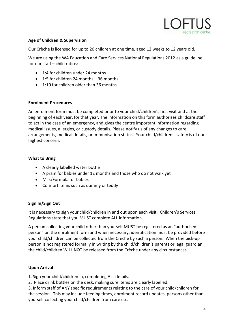

### **Age of Children & Supervision**

Our Crèche is licensed for up to 20 children at one time, aged 12 weeks to 12 years old.

We are using the WA Education and Care Services National Regulations 2012 as a guideline for our staff – child ratios:

- 1:4 for children under 24 months
- 1:5 for children 24 months 36 months
- 1:10 for children older than 36 months

#### **Enrolment Procedures**

An enrolment form must be completed prior to your child/children's first visit and at the beginning of each year, for that year. The information on this form authorises childcare staff to act in the case of an emergency, and gives the centre important information regarding medical issues, allergies, or custody details. Please notify us of any changes to care arrangements, medical details, or immunisation status. Your child/children's safety is of our highest concern.

### **What to Bring**

- A clearly labelled water bottle
- A pram for babies under 12 months and those who do not walk yet
- Milk/Formula for babies
- Comfort items such as dummy or teddy

#### **Sign In/Sign Out**

It is necessary to sign your child/children in and out upon each visit. Children's Services Regulations state that you MUST complete ALL information.

A person collecting your child other than yourself MUST be registered as an "authorised person" on the enrolment form and when necessary, identification must be provided before your child/children can be collected from the Crèche by such a person. When the pick-up person is not registered formally in writing by the child/children's parents or legal guardian, the child/children WILL NOT be released from the Crèche under any circumstances.

#### **Upon Arrival**

1. Sign your child/children in, completing ALL details.

2. Place drink bottles on the desk, making sure items are clearly labelled.

3. Inform staff of ANY specific requirements relating to the care of your child/children for the session. This may include feeding times, enrolment record updates, persons other than yourself collecting your child/children from care etc.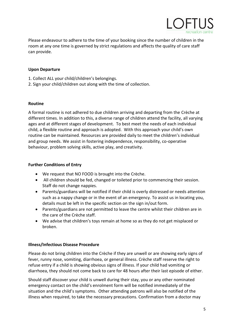

Please endeavour to adhere to the time of your booking since the number of children in the room at any one time is governed by strict regulations and affects the quality of care staff can provide.

### **Upon Departure**

- 1. Collect ALL your child/children's belongings.
- 2. Sign your child/children out along with the time of collection.

#### **Routine**

A formal routine is not adhered to due children arriving and departing from the Crèche at different times. In addition to this, a diverse range of children attend the facility, all varying ages and at different stages of development. To best meet the needs of each individual child, a flexible routine and approach is adopted. With this approach your child's own routine can be maintained. Resources are provided daily to meet the children's individual and group needs. We assist in fostering independence, responsibility, co-operative behaviour, problem solving skills, active play, and creativity.

#### **Further Conditions of Entry**

- We request that NO FOOD is brought into the Crèche.
- All children should be fed, changed or toileted prior to commencing their session. Staff do not change nappies.
- Parents/guardians will be notified if their child is overly distressed or needs attention such as a nappy change or in the event of an emergency. To assist us in locating you, details must be left in the specific section on the sign in/out form.
- Parents/guardians are not permitted to leave the centre whilst their children are in the care of the Crèche staff.
- We advise that children's toys remain at home so as they do not get misplaced or broken.

#### **Illness/Infectious Disease Procedure**

Please do not bring children into the Crèche if they are unwell or are showing early signs of fever, runny nose, vomiting, diarrhoea, or general illness. Crèche staff reserve the right to refuse entry if a child is showing obvious signs of illness. If your child had vomiting or diarrhoea, they should not come back to care for 48 hours after their last episode of either.

Should staff discover your child is unwell during their stay, you or any other nominated emergency contact on the child's enrolment form will be notified immediately of the situation and the child's symptoms. Other attending patrons will also be notified of the illness when required, to take the necessary precautions. Confirmation from a doctor may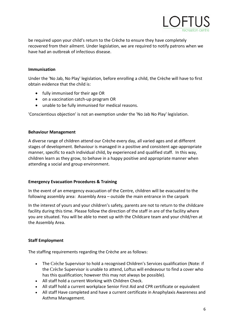

be required upon your child's return to the Crèche to ensure they have completely recovered from their ailment. Under legislation, we are required to notify patrons when we have had an outbreak of infectious disease.

### **Immunisation**

Under the 'No Jab, No Play' legislation, before enrolling a child, the Crèche will have to first obtain evidence that the child is:

- fully immunised for their age OR
- on a vaccination catch-up program OR
- unable to be fully immunised for medical reasons.

'Conscientious objection' is not an exemption under the 'No Jab No Play' legislation.

### **Behaviour Management**

A diverse range of children attend our Crèche every day, all varied ages and at different stages of development. Behaviour is managed in a positive and consistent age-appropriate manner, specific to each individual child, by experienced and qualified staff. In this way, children learn as they grow, to behave in a happy positive and appropriate manner when attending a social and group environment.

# **Emergency Evacuation Procedures & Training**

In the event of an emergency evacuation of the Centre, children will be evacuated to the following assembly area: Assembly Area – outside the main entrance in the carpark

In the interest of yours and your children's safety, parents are not to return to the childcare facility during this time. Please follow the direction of the staff in are of the facility where you are situated. You will be able to meet up with the Childcare team and your child/ren at the Assembly Area.

# **Staff Employment**

The staffing requirements regarding the Crèche are as follows:

- The Crèche Supervisor to hold a recognised Children's Services qualification (Note: if the Crèche Supervisor is unable to attend, Loftus will endeavour to find a cover who has this qualification; however this may not always be possible).
- All staff hold a current Working with Children Check.
- All staff hold a current workplace Senior First Aid and CPR certificate or equivalent
- All staff Have completed and have a current certificate in Anaphylaxis Awareness and Asthma Management.